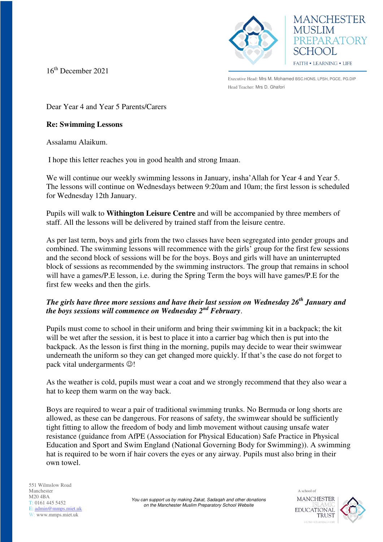

16th December 2021

Executive Head: Mrs M. Mohamed BSC.HONS, LPSH, PGCE, PG.DIP Head Teacher: Mrs D. Ghafori

**MANCHESTER** 

PREPARATORY

**MUSLIM** 

SCHOOL

FAITH . LEARNING . LIFE

Dear Year 4 and Year 5 Parents/Carers

## **Re: Swimming Lessons**

Assalamu Alaikum.

I hope this letter reaches you in good health and strong Imaan.

We will continue our weekly swimming lessons in January, insha'Allah for Year 4 and Year 5. The lessons will continue on Wednesdays between 9:20am and 10am; the first lesson is scheduled for Wednesday 12th January.

Pupils will walk to **Withington Leisure Centre** and will be accompanied by three members of staff. All the lessons will be delivered by trained staff from the leisure centre.

As per last term, boys and girls from the two classes have been segregated into gender groups and combined. The swimming lessons will recommence with the girls' group for the first few sessions and the second block of sessions will be for the boys. Boys and girls will have an uninterrupted block of sessions as recommended by the swimming instructors. The group that remains in school will have a games/P.E lesson, i.e. during the Spring Term the boys will have games/P.E for the first few weeks and then the girls.

## *The girls have three more sessions and have their last session on Wednesday 26th January and the boys sessions will commence on Wednesday 2nd February*.

Pupils must come to school in their uniform and bring their swimming kit in a backpack; the kit will be wet after the session, it is best to place it into a carrier bag which then is put into the backpack. As the lesson is first thing in the morning, pupils may decide to wear their swimwear underneath the uniform so they can get changed more quickly. If that's the case do not forget to pack vital undergarments  $\odot$ !

As the weather is cold, pupils must wear a coat and we strongly recommend that they also wear a hat to keep them warm on the way back.

Boys are required to wear a pair of traditional swimming trunks. No Bermuda or long shorts are allowed, as these can be dangerous. For reasons of safety, the swimwear should be sufficiently tight fitting to allow the freedom of body and limb movement without causing unsafe water resistance (guidance from AfPE (Association for Physical Education) Safe Practice in Physical Education and Sport and Swim England (National Governing Body for Swimming)). A swimming hat is required to be worn if hair covers the eyes or any airway. Pupils must also bring in their own towel.

A school of **MANCHESTER EDUCATIONAL TRUST**